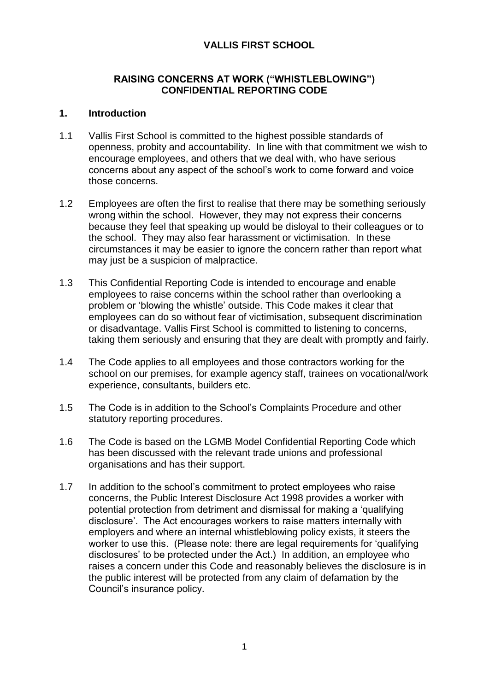## **VALLIS FIRST SCHOOL**

## **RAISING CONCERNS AT WORK ("WHISTLEBLOWING") CONFIDENTIAL REPORTING CODE**

### **1. Introduction**

- 1.1 Vallis First School is committed to the highest possible standards of openness, probity and accountability. In line with that commitment we wish to encourage employees, and others that we deal with, who have serious concerns about any aspect of the school's work to come forward and voice those concerns.
- 1.2 Employees are often the first to realise that there may be something seriously wrong within the school. However, they may not express their concerns because they feel that speaking up would be disloyal to their colleagues or to the school. They may also fear harassment or victimisation. In these circumstances it may be easier to ignore the concern rather than report what may just be a suspicion of malpractice.
- 1.3 This Confidential Reporting Code is intended to encourage and enable employees to raise concerns within the school rather than overlooking a problem or 'blowing the whistle' outside. This Code makes it clear that employees can do so without fear of victimisation, subsequent discrimination or disadvantage. Vallis First School is committed to listening to concerns, taking them seriously and ensuring that they are dealt with promptly and fairly.
- 1.4 The Code applies to all employees and those contractors working for the school on our premises, for example agency staff, trainees on vocational/work experience, consultants, builders etc.
- 1.5 The Code is in addition to the School's Complaints Procedure and other statutory reporting procedures.
- 1.6 The Code is based on the LGMB Model Confidential Reporting Code which has been discussed with the relevant trade unions and professional organisations and has their support.
- 1.7 In addition to the school's commitment to protect employees who raise concerns, the Public Interest Disclosure Act 1998 provides a worker with potential protection from detriment and dismissal for making a 'qualifying disclosure'. The Act encourages workers to raise matters internally with employers and where an internal whistleblowing policy exists, it steers the worker to use this. (Please note: there are legal requirements for 'qualifying disclosures' to be protected under the Act.) In addition, an employee who raises a concern under this Code and reasonably believes the disclosure is in the public interest will be protected from any claim of defamation by the Council's insurance policy.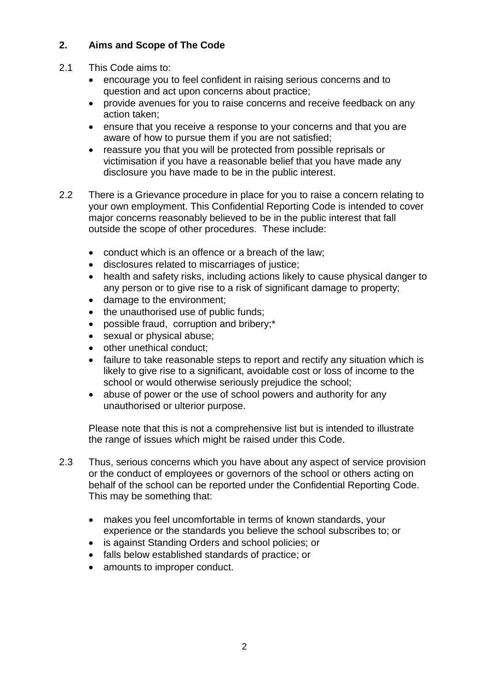# **2. Aims and Scope of The Code**

- 2.1 This Code aims to:
	- encourage you to feel confident in raising serious concerns and to question and act upon concerns about practice;
	- provide avenues for you to raise concerns and receive feedback on any action taken;
	- ensure that you receive a response to your concerns and that you are aware of how to pursue them if you are not satisfied;
	- reassure you that you will be protected from possible reprisals or victimisation if you have a reasonable belief that you have made any disclosure you have made to be in the public interest.
- 2.2 There is a Grievance procedure in place for you to raise a concern relating to your own employment. This Confidential Reporting Code is intended to cover major concerns reasonably believed to be in the public interest that fall outside the scope of other procedures. These include:
	- conduct which is an offence or a breach of the law;
	- disclosures related to miscarriages of justice;
	- health and safety risks, including actions likely to cause physical danger to any person or to give rise to a risk of significant damage to property;
	- damage to the environment;
	- the unauthorised use of public funds;
	- possible fraud, corruption and bribery;\*
	- sexual or physical abuse;
	- other unethical conduct:
	- failure to take reasonable steps to report and rectify any situation which is likely to give rise to a significant, avoidable cost or loss of income to the school or would otherwise seriously prejudice the school;
	- abuse of power or the use of school powers and authority for any unauthorised or ulterior purpose.

Please note that this is not a comprehensive list but is intended to illustrate the range of issues which might be raised under this Code.

- 2.3 Thus, serious concerns which you have about any aspect of service provision or the conduct of employees or governors of the school or others acting on behalf of the school can be reported under the Confidential Reporting Code. This may be something that:
	- makes you feel uncomfortable in terms of known standards, your experience or the standards you believe the school subscribes to; or
	- is against Standing Orders and school policies; or
	- falls below established standards of practice; or
	- amounts to improper conduct.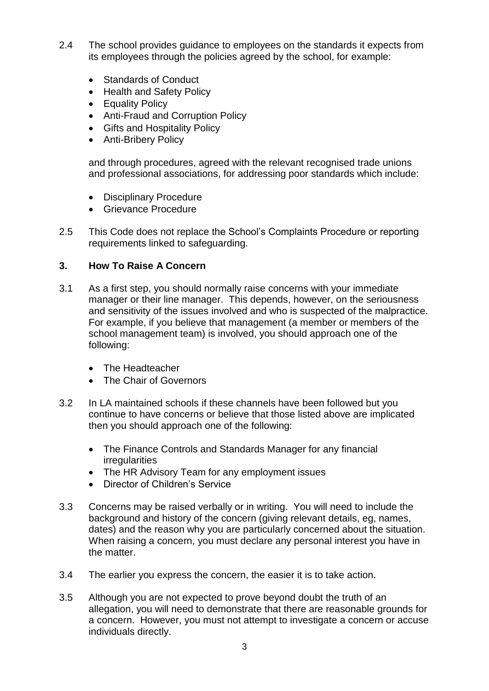- 2.4 The school provides guidance to employees on the standards it expects from its employees through the policies agreed by the school, for example:
	- Standards of Conduct
	- Health and Safety Policy
	- Equality Policy
	- Anti-Fraud and Corruption Policy
	- Gifts and Hospitality Policy
	- Anti-Bribery Policy

and through procedures, agreed with the relevant recognised trade unions and professional associations, for addressing poor standards which include:

- Disciplinary Procedure
- Grievance Procedure
- 2.5 This Code does not replace the School's Complaints Procedure or reporting requirements linked to safeguarding.

# **3. How To Raise A Concern**

- 3.1 As a first step, you should normally raise concerns with your immediate manager or their line manager. This depends, however, on the seriousness and sensitivity of the issues involved and who is suspected of the malpractice. For example, if you believe that management (a member or members of the school management team) is involved, you should approach one of the following:
	- The Headteacher
	- The Chair of Governors
- 3.2 In LA maintained schools if these channels have been followed but you continue to have concerns or believe that those listed above are implicated then you should approach one of the following:
	- The Finance Controls and Standards Manager for any financial irregularities
	- The HR Advisory Team for any employment issues
	- Director of Children's Service
- 3.3 Concerns may be raised verbally or in writing. You will need to include the background and history of the concern (giving relevant details, eg, names, dates) and the reason why you are particularly concerned about the situation. When raising a concern, you must declare any personal interest you have in the matter.
- 3.4 The earlier you express the concern, the easier it is to take action.
- 3.5 Although you are not expected to prove beyond doubt the truth of an allegation, you will need to demonstrate that there are reasonable grounds for a concern. However, you must not attempt to investigate a concern or accuse individuals directly.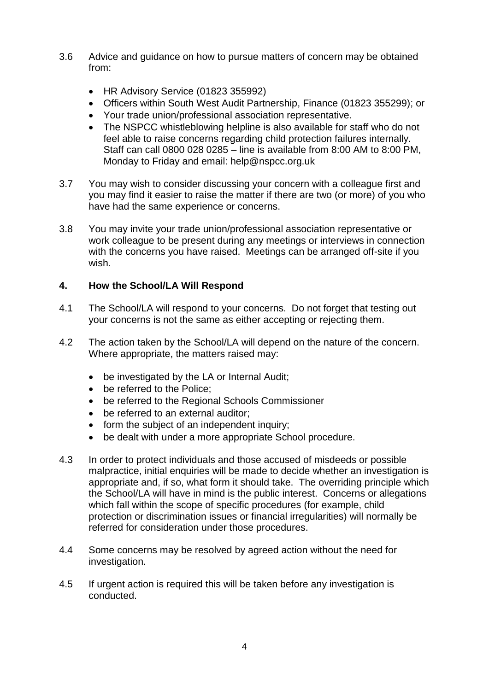- 3.6 Advice and guidance on how to pursue matters of concern may be obtained from:
	- HR Advisory Service (01823 355992)
	- Officers within South West Audit Partnership, Finance (01823 355299); or
	- Your trade union/professional association representative.
	- The NSPCC whistleblowing helpline is also available for staff who do not feel able to raise concerns regarding child protection failures internally. Staff can call 0800 028 0285 – line is available from 8:00 AM to 8:00 PM, Monday to Friday and email: help@nspcc.org.uk
- 3.7 You may wish to consider discussing your concern with a colleague first and you may find it easier to raise the matter if there are two (or more) of you who have had the same experience or concerns.
- 3.8 You may invite your trade union/professional association representative or work colleague to be present during any meetings or interviews in connection with the concerns you have raised. Meetings can be arranged off-site if you wish.

### **4. How the School/LA Will Respond**

- 4.1 The School/LA will respond to your concerns. Do not forget that testing out your concerns is not the same as either accepting or rejecting them.
- 4.2 The action taken by the School/LA will depend on the nature of the concern. Where appropriate, the matters raised may:
	- be investigated by the LA or Internal Audit;
	- be referred to the Police:
	- be referred to the Regional Schools Commissioner
	- be referred to an external auditor;
	- form the subject of an independent inquiry;
	- be dealt with under a more appropriate School procedure.
- 4.3 In order to protect individuals and those accused of misdeeds or possible malpractice, initial enquiries will be made to decide whether an investigation is appropriate and, if so, what form it should take. The overriding principle which the School/LA will have in mind is the public interest. Concerns or allegations which fall within the scope of specific procedures (for example, child protection or discrimination issues or financial irregularities) will normally be referred for consideration under those procedures.
- 4.4 Some concerns may be resolved by agreed action without the need for investigation.
- 4.5 If urgent action is required this will be taken before any investigation is conducted.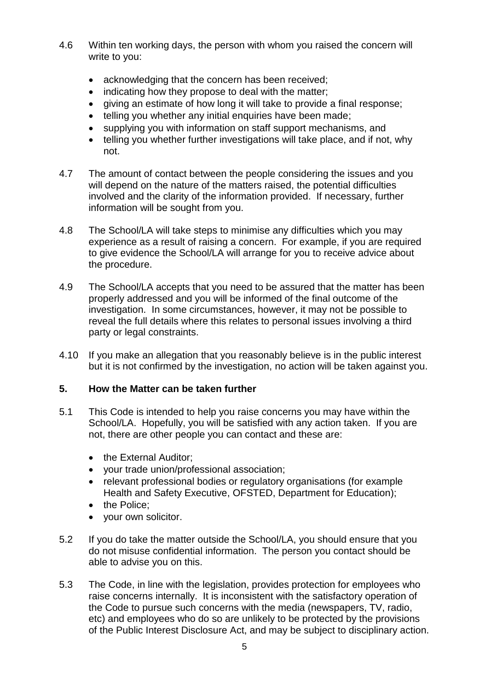- 4.6 Within ten working days, the person with whom you raised the concern will write to you:
	- acknowledging that the concern has been received:
	- indicating how they propose to deal with the matter;
	- giving an estimate of how long it will take to provide a final response;
	- telling you whether any initial enquiries have been made;
	- supplying you with information on staff support mechanisms, and
	- telling you whether further investigations will take place, and if not, why not.
- 4.7 The amount of contact between the people considering the issues and you will depend on the nature of the matters raised, the potential difficulties involved and the clarity of the information provided. If necessary, further information will be sought from you.
- 4.8 The School/LA will take steps to minimise any difficulties which you may experience as a result of raising a concern. For example, if you are required to give evidence the School/LA will arrange for you to receive advice about the procedure.
- 4.9 The School/LA accepts that you need to be assured that the matter has been properly addressed and you will be informed of the final outcome of the investigation. In some circumstances, however, it may not be possible to reveal the full details where this relates to personal issues involving a third party or legal constraints.
- 4.10 If you make an allegation that you reasonably believe is in the public interest but it is not confirmed by the investigation, no action will be taken against you.

## **5. How the Matter can be taken further**

- 5.1 This Code is intended to help you raise concerns you may have within the School/LA. Hopefully, you will be satisfied with any action taken. If you are not, there are other people you can contact and these are:
	- the External Auditor:
	- your trade union/professional association;
	- relevant professional bodies or regulatory organisations (for example Health and Safety Executive, OFSTED, Department for Education);
	- the Police;
	- your own solicitor.
- 5.2 If you do take the matter outside the School/LA, you should ensure that you do not misuse confidential information. The person you contact should be able to advise you on this.
- 5.3 The Code, in line with the legislation, provides protection for employees who raise concerns internally. It is inconsistent with the satisfactory operation of the Code to pursue such concerns with the media (newspapers, TV, radio, etc) and employees who do so are unlikely to be protected by the provisions of the Public Interest Disclosure Act, and may be subject to disciplinary action.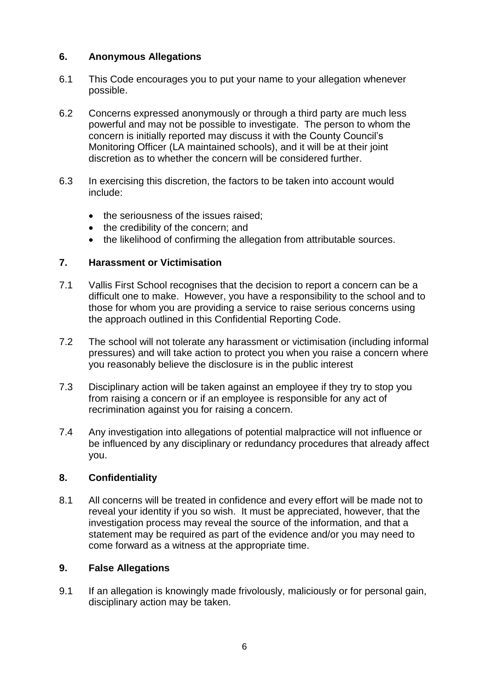## **6. Anonymous Allegations**

- 6.1 This Code encourages you to put your name to your allegation whenever possible.
- 6.2 Concerns expressed anonymously or through a third party are much less powerful and may not be possible to investigate. The person to whom the concern is initially reported may discuss it with the County Council's Monitoring Officer (LA maintained schools), and it will be at their joint discretion as to whether the concern will be considered further.
- 6.3 In exercising this discretion, the factors to be taken into account would include:
	- the seriousness of the issues raised:
	- the credibility of the concern; and
	- the likelihood of confirming the allegation from attributable sources.

### **7. Harassment or Victimisation**

- 7.1 Vallis First School recognises that the decision to report a concern can be a difficult one to make. However, you have a responsibility to the school and to those for whom you are providing a service to raise serious concerns using the approach outlined in this Confidential Reporting Code.
- 7.2 The school will not tolerate any harassment or victimisation (including informal pressures) and will take action to protect you when you raise a concern where you reasonably believe the disclosure is in the public interest
- 7.3 Disciplinary action will be taken against an employee if they try to stop you from raising a concern or if an employee is responsible for any act of recrimination against you for raising a concern.
- 7.4 Any investigation into allegations of potential malpractice will not influence or be influenced by any disciplinary or redundancy procedures that already affect you.

#### **8. Confidentiality**

8.1 All concerns will be treated in confidence and every effort will be made not to reveal your identity if you so wish. It must be appreciated, however, that the investigation process may reveal the source of the information, and that a statement may be required as part of the evidence and/or you may need to come forward as a witness at the appropriate time.

#### **9. False Allegations**

9.1 If an allegation is knowingly made frivolously, maliciously or for personal gain, disciplinary action may be taken.